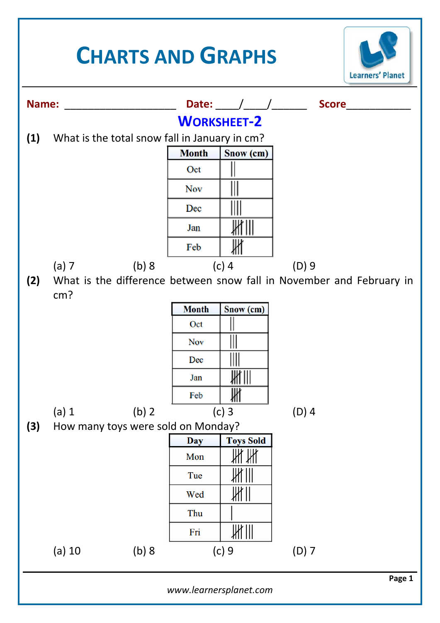## **CHARTS AND GRAPHS**



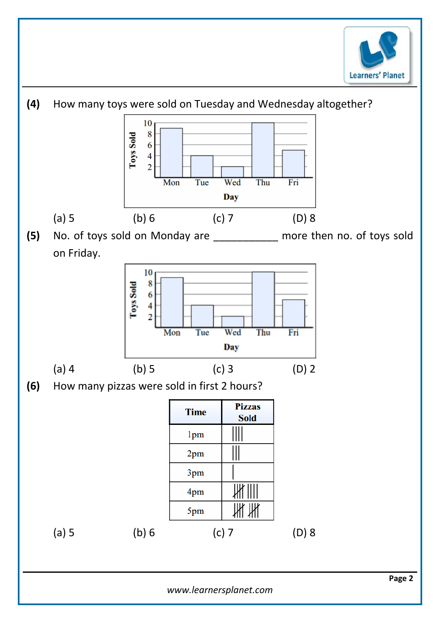

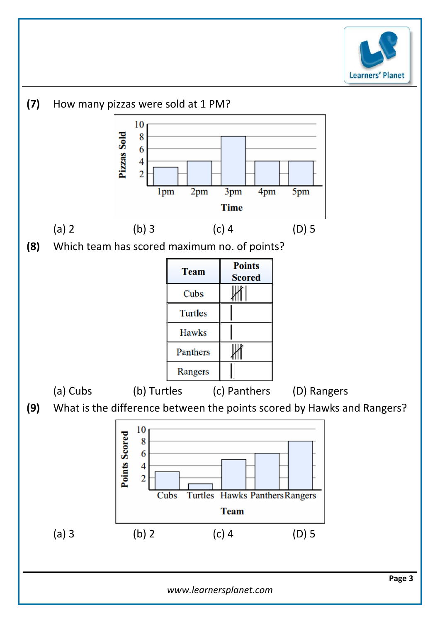

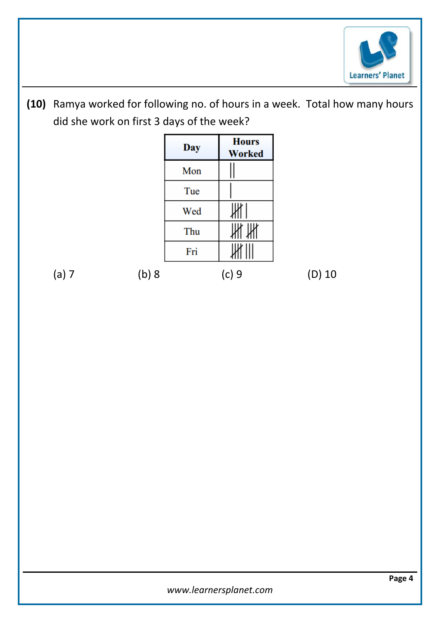

 $(D) 10$ 

**(10)** Ramya worked for following no. of hours in a week. Total how many hours did she work on first 3 days of the week?

|       |       | Day | <b>Hours</b><br><b>Worked</b> |  |
|-------|-------|-----|-------------------------------|--|
|       |       | Mon |                               |  |
|       |       | Tue |                               |  |
|       |       | Wed |                               |  |
|       |       | Thu |                               |  |
|       |       | Fri |                               |  |
| (a) 7 | (b) 8 |     | (c)9                          |  |